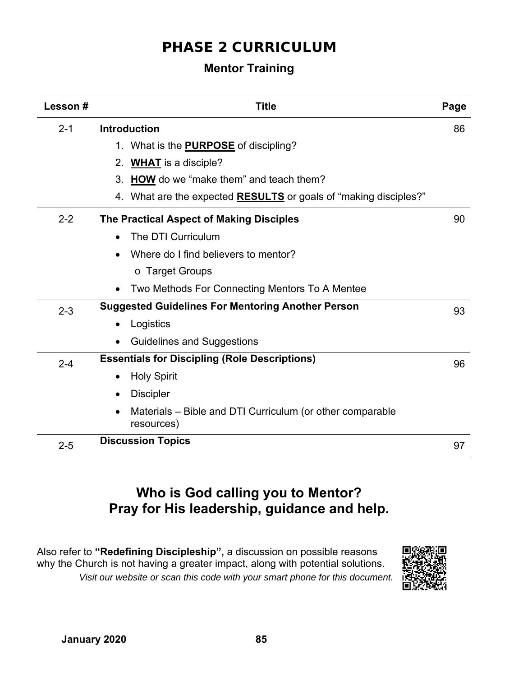## PHASE 2 CURRICULUM

## **Mentor Training**

| Lesson# | <b>Title</b>                                                            | Page |
|---------|-------------------------------------------------------------------------|------|
| $2 - 1$ | <b>Introduction</b>                                                     | 86   |
|         | 1. What is the <b>PURPOSE</b> of discipling?                            |      |
|         | <b>WHAT</b> is a disciple?<br>2.                                        |      |
|         | 3. HOW do we "make them" and teach them?                                |      |
|         | 4. What are the expected <b>RESULTS</b> or goals of "making disciples?" |      |
| $2 - 2$ | The Practical Aspect of Making Disciples                                | 90   |
|         | The DTI Curriculum                                                      |      |
|         | Where do I find believers to mentor?                                    |      |
|         | ○ Target Groups                                                         |      |
|         | Two Methods For Connecting Mentors To A Mentee                          |      |
| $2 - 3$ | <b>Suggested Guidelines For Mentoring Another Person</b>                | 93   |
|         | Logistics<br>$\bullet$                                                  |      |
|         | <b>Guidelines and Suggestions</b>                                       |      |
| $2 - 4$ | <b>Essentials for Discipling (Role Descriptions)</b>                    | 96   |
|         | <b>Holy Spirit</b><br>$\bullet$                                         |      |
|         | <b>Discipler</b>                                                        |      |
|         | Materials – Bible and DTI Curriculum (or other comparable<br>resources) |      |
| $2 - 5$ | <b>Discussion Topics</b>                                                | 97   |

# **Who is God calling you to Mentor? Pray for His leadership, guidance and help.**

Also refer to **"Redefining Discipleship",** a discussion on possible reasons why the Church is not having a greater impact, along with potential solutions.  *Visit our website or scan this code with your smart phone for this document.* 

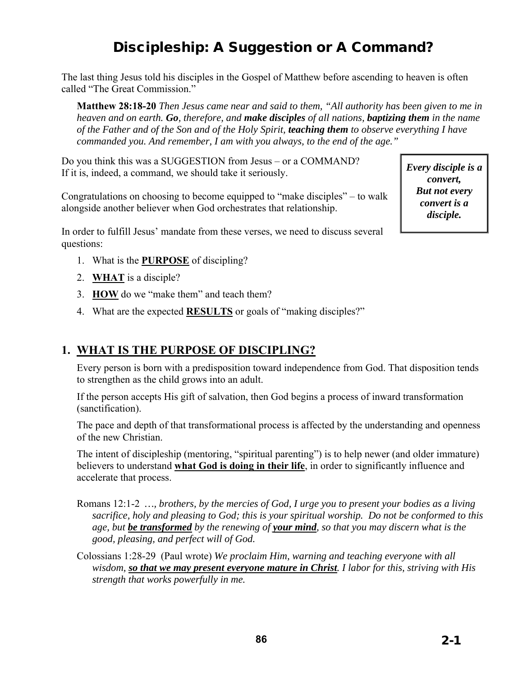# Discipleship: A Suggestion or A Command?

The last thing Jesus told his disciples in the Gospel of Matthew before ascending to heaven is often called "The Great Commission."

**Matthew 28:18-20** *Then Jesus came near and said to them, "All authority has been given to me in heaven and on earth. Go, therefore, and make disciples of all nations, baptizing them in the name of the Father and of the Son and of the Holy Spirit, teaching them to observe everything I have commanded you. And remember, I am with you always, to the end of the age."* 

Do you think this was a SUGGESTION from Jesus – or a COMMAND? If it is, indeed, a command, we should take it seriously.

Congratulations on choosing to become equipped to "make disciples" – to walk alongside another believer when God orchestrates that relationship.

In order to fulfill Jesus' mandate from these verses, we need to discuss several questions:

- 1. What is the **PURPOSE** of discipling?
- 2. **WHAT** is a disciple?
- 3. **HOW** do we "make them" and teach them?
- 4. What are the expected **RESULTS** or goals of "making disciples?"

#### **1. WHAT IS THE PURPOSE OF DISCIPLING?**

Every person is born with a predisposition toward independence from God. That disposition tends to strengthen as the child grows into an adult.

If the person accepts His gift of salvation, then God begins a process of inward transformation (sanctification).

The pace and depth of that transformational process is affected by the understanding and openness of the new Christian.

The intent of discipleship (mentoring, "spiritual parenting") is to help newer (and older immature) believers to understand **what God is doing in their life**, in order to significantly influence and accelerate that process.

- Romans 12:1-2 *…, brothers, by the mercies of God, I urge you to present your bodies as a living sacrifice, holy and pleasing to God; this is your spiritual worship. Do not be conformed to this age, but be transformed by the renewing of your mind, so that you may discern what is the good, pleasing, and perfect will of God.*
- Colossians 1:28-29 (Paul wrote) *We proclaim Him, warning and teaching everyone with all wisdom, so that we may present everyone mature in Christ. I labor for this, striving with His strength that works powerfully in me.*

*Every disciple is a convert, But not every convert is a disciple.*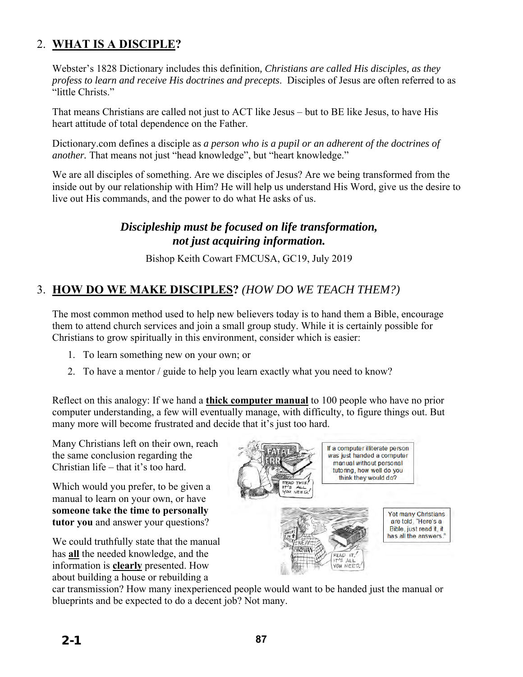### 2. **WHAT IS A DISCIPLE?**

Webster's 1828 Dictionary includes this definition*, Christians are called His disciples, as they profess to learn and receive His doctrines and precepts*. Disciples of Jesus are often referred to as "little Christs."

That means Christians are called not just to ACT like Jesus – but to BE like Jesus, to have His heart attitude of total dependence on the Father.

Dictionary.com defines a disciple as *a person who is a pupil or an adherent of the doctrines of another.* That means not just "head knowledge", but "heart knowledge."

We are all disciples of something. Are we disciples of Jesus? Are we being transformed from the inside out by our relationship with Him? He will help us understand His Word, give us the desire to live out His commands, and the power to do what He asks of us.

### *Discipleship must be focused on life transformation, not just acquiring information.*

Bishop Keith Cowart FMCUSA, GC19, July 2019

### 3. **HOW DO WE MAKE DISCIPLES?** *(HOW DO WE TEACH THEM?)*

The most common method used to help new believers today is to hand them a Bible, encourage them to attend church services and join a small group study. While it is certainly possible for Christians to grow spiritually in this environment, consider which is easier:

- 1. To learn something new on your own; or
- 2. To have a mentor / guide to help you learn exactly what you need to know?

Reflect on this analogy: If we hand a **thick computer manual** to 100 people who have no prior computer understanding, a few will eventually manage, with difficulty, to figure things out. But many more will become frustrated and decide that it's just too hard.

Many Christians left on their own, reach the same conclusion regarding the Christian life – that it's too hard.

Which would you prefer, to be given a manual to learn on your own, or have **someone take the time to personally tutor you** and answer your questions?

We could truthfully state that the manual has **all** the needed knowledge, and the information is **clearly** presented. How about building a house or rebuilding a

If a computer illiterate person was just handed a computer manual without personal tutoring, how well do you think they would do? Yet many Christians are told, "Here's a Bible, just read it, it has all the answers." **CEAD** 

> $411$ YOU NEED.

car transmission? How many inexperienced people would want to be handed just the manual or blueprints and be expected to do a decent job? Not many.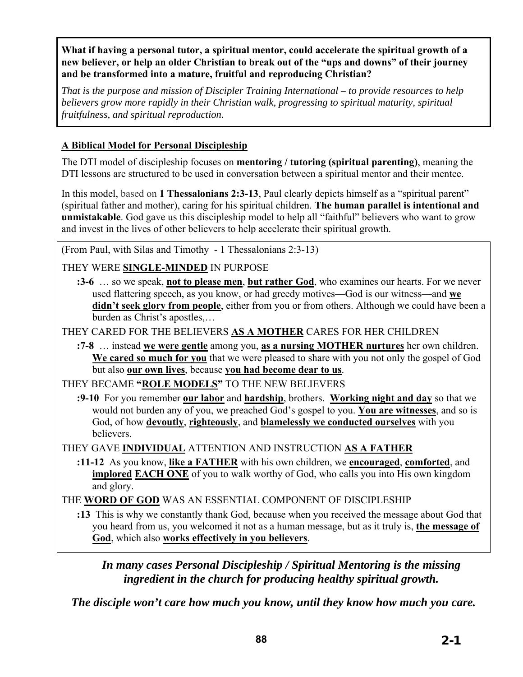**What if having a personal tutor, a spiritual mentor, could accelerate the spiritual growth of a new believer, or help an older Christian to break out of the "ups and downs" of their journey and be transformed into a mature, fruitful and reproducing Christian?** 

*That is the purpose and mission of Discipler Training International – to provide resources to help believers grow more rapidly in their Christian walk, progressing to spiritual maturity, spiritual fruitfulness, and spiritual reproduction.* 

#### **A Biblical Model for Personal Discipleship**

The DTI model of discipleship focuses on **mentoring / tutoring (spiritual parenting)**, meaning the DTI lessons are structured to be used in conversation between a spiritual mentor and their mentee.

In this model, based on **1 Thessalonians 2:3-13**, Paul clearly depicts himself as a "spiritual parent" (spiritual father and mother), caring for his spiritual children. **The human parallel is intentional and unmistakable**. God gave us this discipleship model to help all "faithful" believers who want to grow and invest in the lives of other believers to help accelerate their spiritual growth.

(From Paul, with Silas and Timothy - 1 Thessalonians 2:3-13)

THEY WERE **SINGLE-MINDED** IN PURPOSE

**:3-6** … so we speak, **not to please men**, **but rather God**, who examines our hearts. For we never used flattering speech, as you know, or had greedy motives—God is our witness—and **we**  didn't seek glory from people, either from you or from others. Although we could have been a burden as Christ's apostles,…

THEY CARED FOR THE BELIEVERS **AS A MOTHER** CARES FOR HER CHILDREN

**:7-8** … instead **we were gentle** among you, **as a nursing MOTHER nurtures** her own children. **We cared so much for you** that we were pleased to share with you not only the gospel of God but also **our own lives**, because **you had become dear to us**.

THEY BECAME **"ROLE MODELS"** TO THE NEW BELIEVERS

**:9-10** For you remember **our labor** and **hardship**, brothers. **Working night and day** so that we would not burden any of you, we preached God's gospel to you. **You are witnesses**, and so is God, of how **devoutly**, **righteously**, and **blamelessly we conducted ourselves** with you believers.

THEY GAVE **INDIVIDUAL** ATTENTION AND INSTRUCTION **AS A FATHER**

**:11-12** As you know, **like a FATHER** with his own children, we **encouraged**, **comforted**, and **implored EACH ONE** of you to walk worthy of God, who calls you into His own kingdom and glory.

THE **WORD OF GOD** WAS AN ESSENTIAL COMPONENT OF DISCIPLESHIP

**:13** This is why we constantly thank God, because when you received the message about God that you heard from us, you welcomed it not as a human message, but as it truly is, **the message of God**, which also **works effectively in you believers**.

*In many cases Personal Discipleship / Spiritual Mentoring is the missing ingredient in the church for producing healthy spiritual growth.*

*The disciple won't care how much you know, until they know how much you care.*